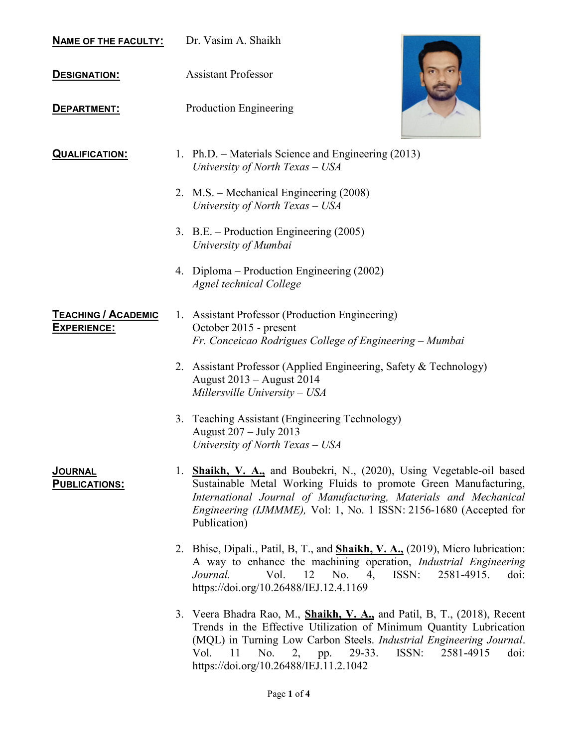|  | <b>NAME OF THE FACULTY:</b> | Dr. Vasim A. Shaikh |
|--|-----------------------------|---------------------|
|--|-----------------------------|---------------------|

**DESIGNATION:** Assistant Professor

**DEPARTMENT:** Production Engineering



**QUALIFICATION:** 1. Ph.D. – Materials Science and Engineering (2013) University of North Texas – USA

- 2. M.S. Mechanical Engineering (2008) University of North Texas – USA
- 3. B.E. Production Engineering (2005) University of Mumbai
- 4. Diploma Production Engineering (2002) Agnel technical College

TEACHING / ACADEMIC EXPERIENCE: 1. Assistant Professor (Production Engineering) October 2015 - present Fr. Conceicao Rodrigues College of Engineering – Mumbai

- 2. Assistant Professor (Applied Engineering, Safety & Technology) August 2013 – August 2014 Millersville University – USA
- 3. Teaching Assistant (Engineering Technology) August 207 – July 2013 University of North Texas – USA
- 1. Shaikh, V. A., and Boubekri, N., (2020), Using Vegetable-oil based Sustainable Metal Working Fluids to promote Green Manufacturing, International Journal of Manufacturing, Materials and Mechanical Engineering (IJMMME), Vol: 1, No. 1 ISSN: 2156-1680 (Accepted for Publication)
- 2. Bhise, Dipali., Patil, B, T., and **Shaikh, V. A.,** (2019), Micro lubrication: A way to enhance the machining operation, Industrial Engineering Journal. Vol. 12 No. 4, ISSN: 2581-4915. doi: https://doi.org/10.26488/IEJ.12.4.1169
- 3. Veera Bhadra Rao, M., Shaikh, V. A., and Patil, B, T., (2018), Recent Trends in the Effective Utilization of Minimum Quantity Lubrication (MQL) in Turning Low Carbon Steels. Industrial Engineering Journal. Vol. 11 No. 2, pp. 29-33. ISSN: 2581-4915 doi: https://doi.org/10.26488/IEJ.11.2.1042

## JOURNAL PUBLICATIONS: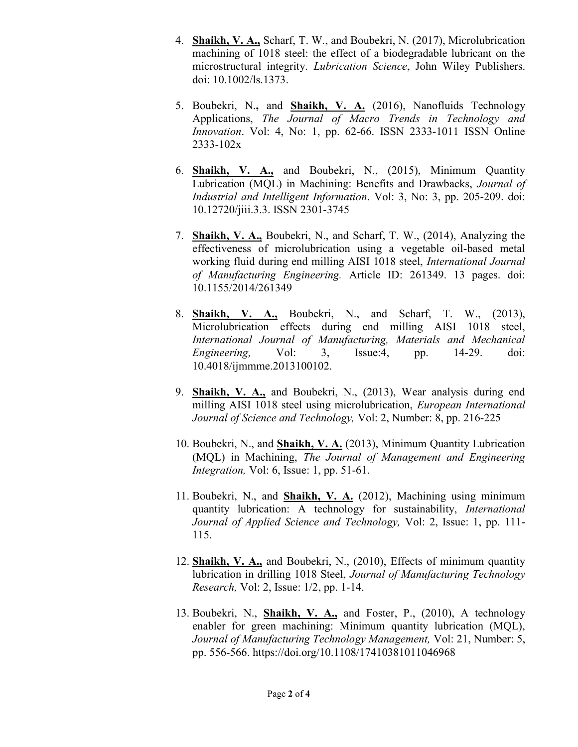- 4. Shaikh, V. A., Scharf, T. W., and Boubekri, N. (2017), Microlubrication machining of 1018 steel: the effect of a biodegradable lubricant on the microstructural integrity. *Lubrication Science*, John Wiley Publishers. doi: 10.1002/ls.1373.
- 5. Boubekri, N., and Shaikh, V. A. (2016), Nanofluids Technology Applications, The Journal of Macro Trends in Technology and Innovation. Vol: 4, No: 1, pp. 62-66. ISSN 2333-1011 ISSN Online 2333-102x
- 6. Shaikh, V. A., and Boubekri, N., (2015), Minimum Quantity Lubrication (MQL) in Machining: Benefits and Drawbacks, Journal of Industrial and Intelligent Information. Vol: 3, No: 3, pp. 205-209. doi: 10.12720/jiii.3.3. ISSN 2301-3745
- 7. Shaikh, V. A., Boubekri, N., and Scharf, T. W., (2014), Analyzing the effectiveness of microlubrication using a vegetable oil-based metal working fluid during end milling AISI 1018 steel, International Journal of Manufacturing Engineering. Article ID: 261349. 13 pages. doi: 10.1155/2014/261349
- 8. Shaikh, V. A., Boubekri, N., and Scharf, T. W., (2013), Microlubrication effects during end milling AISI 1018 steel, International Journal of Manufacturing, Materials and Mechanical Engineering, Vol: 3, Issue:4, pp. 14-29. doi: 10.4018/ijmmme.2013100102.
- 9. Shaikh, V. A., and Boubekri, N., (2013), Wear analysis during end milling AISI 1018 steel using microlubrication, European International Journal of Science and Technology, Vol: 2, Number: 8, pp. 216-225
- 10. Boubekri, N., and Shaikh, V. A. (2013), Minimum Quantity Lubrication (MQL) in Machining, The Journal of Management and Engineering Integration, Vol: 6, Issue: 1, pp. 51-61.
- 11. Boubekri, N., and **Shaikh, V. A.** (2012), Machining using minimum quantity lubrication: A technology for sustainability, International Journal of Applied Science and Technology, Vol: 2, Issue: 1, pp. 111- 115.
- 12. Shaikh, V. A., and Boubekri, N., (2010), Effects of minimum quantity lubrication in drilling 1018 Steel, Journal of Manufacturing Technology Research, Vol: 2, Issue: 1/2, pp. 1-14.
- 13. Boubekri, N., Shaikh, V. A., and Foster, P., (2010), A technology enabler for green machining: Minimum quantity lubrication (MQL), Journal of Manufacturing Technology Management, Vol: 21, Number: 5, pp. 556-566. https://doi.org/10.1108/17410381011046968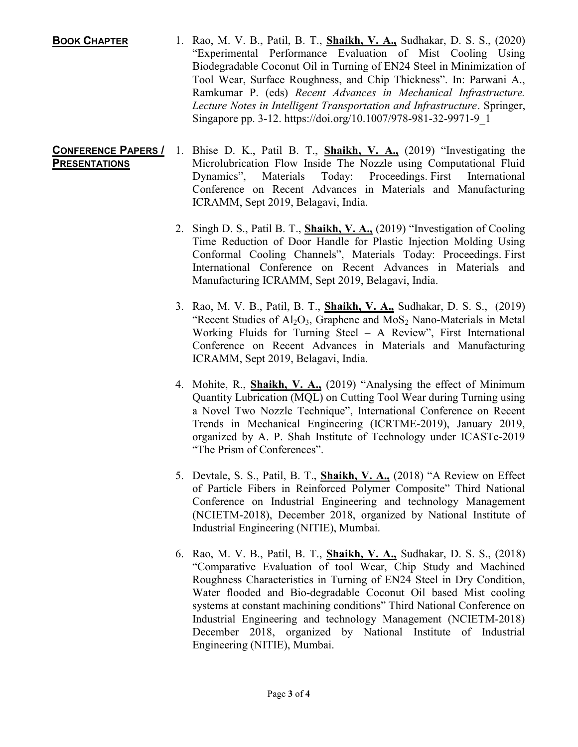BOOK CHAPTER 1. Rao, M. V. B., Patil, B. T., Shaikh, V. A., Sudhakar, D. S. S., (2020) "Experimental Performance Evaluation of Mist Cooling Using Biodegradable Coconut Oil in Turning of EN24 Steel in Minimization of Tool Wear, Surface Roughness, and Chip Thickness". In: Parwani A., Ramkumar P. (eds) Recent Advances in Mechanical Infrastructure. Lecture Notes in Intelligent Transportation and Infrastructure. Springer, Singapore pp. 3-12. https://doi.org/10.1007/978-981-32-9971-9\_1

## CONFERENCE PAPERS / **PRESENTATIONS** 1. Bhise D. K., Patil B. T., Shaikh, V. A., (2019) "Investigating the Microlubrication Flow Inside The Nozzle using Computational Fluid Dynamics", Materials Today: Proceedings. First International Conference on Recent Advances in Materials and Manufacturing ICRAMM, Sept 2019, Belagavi, India.

- 2. Singh D. S., Patil B. T., Shaikh, V. A., (2019) "Investigation of Cooling Time Reduction of Door Handle for Plastic Injection Molding Using Conformal Cooling Channels", Materials Today: Proceedings. First International Conference on Recent Advances in Materials and Manufacturing ICRAMM, Sept 2019, Belagavi, India.
- 3. Rao, M. V. B., Patil, B. T., Shaikh, V. A., Sudhakar, D. S. S., (2019) "Recent Studies of  $Al_2O_3$ , Graphene and  $MoS_2$  Nano-Materials in Metal Working Fluids for Turning Steel – A Review", First International Conference on Recent Advances in Materials and Manufacturing ICRAMM, Sept 2019, Belagavi, India.
- 4. Mohite, R., Shaikh, V. A., (2019) "Analysing the effect of Minimum Quantity Lubrication (MQL) on Cutting Tool Wear during Turning using a Novel Two Nozzle Technique", International Conference on Recent Trends in Mechanical Engineering (ICRTME-2019), January 2019, organized by A. P. Shah Institute of Technology under ICASTe-2019 "The Prism of Conferences".
- 5. Devtale, S. S., Patil, B. T., **Shaikh, V. A.**, (2018) "A Review on Effect of Particle Fibers in Reinforced Polymer Composite" Third National Conference on Industrial Engineering and technology Management (NCIETM-2018), December 2018, organized by National Institute of Industrial Engineering (NITIE), Mumbai.
- 6. Rao, M. V. B., Patil, B. T., Shaikh, V. A., Sudhakar, D. S. S., (2018) "Comparative Evaluation of tool Wear, Chip Study and Machined Roughness Characteristics in Turning of EN24 Steel in Dry Condition, Water flooded and Bio-degradable Coconut Oil based Mist cooling systems at constant machining conditions" Third National Conference on Industrial Engineering and technology Management (NCIETM-2018) December 2018, organized by National Institute of Industrial Engineering (NITIE), Mumbai.